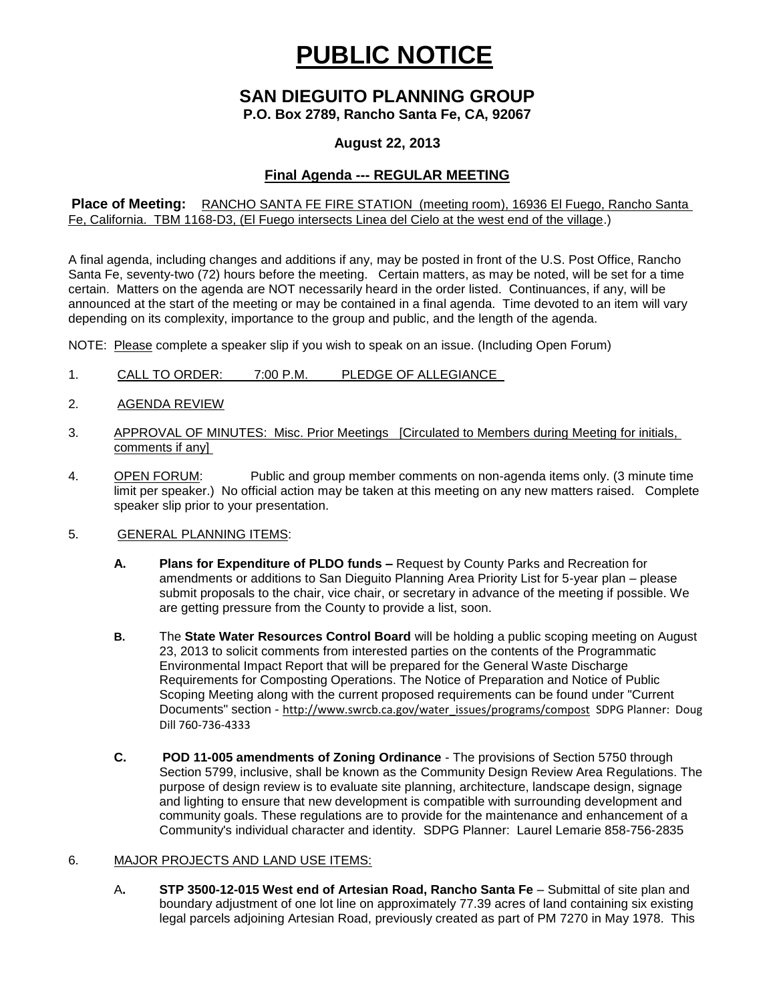# **PUBLIC NOTICE**

# **SAN DIEGUITO PLANNING GROUP**

**P.O. Box 2789, Rancho Santa Fe, CA, 92067**

### **August 22, 2013**

## **Final Agenda --- REGULAR MEETING**

**Place of Meeting:** RANCHO SANTA FE FIRE STATION (meeting room), 16936 El Fuego, Rancho Santa Fe, California. TBM 1168-D3, (El Fuego intersects Linea del Cielo at the west end of the village.)

A final agenda, including changes and additions if any, may be posted in front of the U.S. Post Office, Rancho Santa Fe, seventy-two (72) hours before the meeting. Certain matters, as may be noted, will be set for a time certain. Matters on the agenda are NOT necessarily heard in the order listed. Continuances, if any, will be announced at the start of the meeting or may be contained in a final agenda. Time devoted to an item will vary depending on its complexity, importance to the group and public, and the length of the agenda.

NOTE: Please complete a speaker slip if you wish to speak on an issue. (Including Open Forum)

- 1. CALL TO ORDER: 7:00 P.M. PLEDGE OF ALLEGIANCE
- 2. AGENDA REVIEW
- 3. APPROVAL OF MINUTES: Misc. Prior Meetings [Circulated to Members during Meeting for initials, comments if any]
- 4. OPEN FORUM: Public and group member comments on non-agenda items only. (3 minute time limit per speaker.) No official action may be taken at this meeting on any new matters raised. Complete speaker slip prior to your presentation.

#### 5. GENERAL PLANNING ITEMS:

- **A. Plans for Expenditure of PLDO funds –** Request by County Parks and Recreation for amendments or additions to San Dieguito Planning Area Priority List for 5-year plan – please submit proposals to the chair, vice chair, or secretary in advance of the meeting if possible. We are getting pressure from the County to provide a list, soon.
- **B.** The **State Water Resources Control Board** will be holding a public scoping meeting on August 23, 2013 to solicit comments from interested parties on the contents of the Programmatic Environmental Impact Report that will be prepared for the General Waste Discharge Requirements for Composting Operations. The Notice of Preparation and Notice of Public Scoping Meeting along with the current proposed requirements can be found under "Current Documents" section - [http://www.swrcb.ca.gov/water\\_issues/programs/compost](http://www.swrcb.ca.gov/water_issues/programs/compost) SDPG Planner: Doug Dill 760-736-4333
- **C. POD 11-005 amendments of Zoning Ordinance** The provisions of Section 5750 through Section 5799, inclusive, shall be known as the Community Design Review Area Regulations. The purpose of design review is to evaluate site planning, architecture, landscape design, signage and lighting to ensure that new development is compatible with surrounding development and community goals. These regulations are to provide for the maintenance and enhancement of a Community's individual character and identity. SDPG Planner: Laurel Lemarie 858-756-2835

#### 6. MAJOR PROJECTS AND LAND USE ITEMS:

A**. STP 3500-12-015 West end of Artesian Road, Rancho Santa Fe** – Submittal of site plan and boundary adjustment of one lot line on approximately 77.39 acres of land containing six existing legal parcels adjoining Artesian Road, previously created as part of PM 7270 in May 1978. This